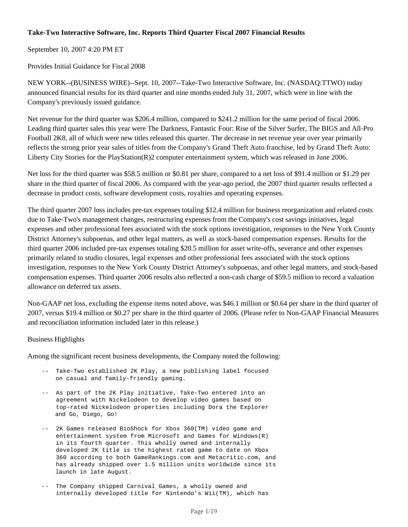## **Take-Two Interactive Software, Inc. Reports Third Quarter Fiscal 2007 Financial Results**

September 10, 2007 4:20 PM ET

Provides Initial Guidance for Fiscal 2008

NEW YORK--(BUSINESS WIRE)--Sept. 10, 2007--Take-Two Interactive Software, Inc. (NASDAQ:TTWO) today announced financial results for its third quarter and nine months ended July 31, 2007, which were in line with the Company's previously issued guidance.

Net revenue for the third quarter was \$206.4 million, compared to \$241.2 million for the same period of fiscal 2006. Leading third quarter sales this year were The Darkness, Fantastic Four: Rise of the Silver Surfer, The BIGS and All-Pro Football 2K8, all of which were new titles released this quarter. The decrease in net revenue year over year primarily reflects the strong prior year sales of titles from the Company's Grand Theft Auto franchise, led by Grand Theft Auto: Liberty City Stories for the PlayStation(R)2 computer entertainment system, which was released in June 2006.

Net loss for the third quarter was \$58.5 million or \$0.81 per share, compared to a net loss of \$91.4 million or \$1.29 per share in the third quarter of fiscal 2006. As compared with the year-ago period, the 2007 third quarter results reflected a decrease in product costs, software development costs, royalties and operating expenses.

The third quarter 2007 loss includes pre-tax expenses totaling \$12.4 million for business reorganization and related costs due to Take-Two's management changes, restructuring expenses from the Company's cost savings initiatives, legal expenses and other professional fees associated with the stock options investigation, responses to the New York County District Attorney's subpoenas, and other legal matters, as well as stock-based compensation expenses. Results for the third quarter 2006 included pre-tax expenses totaling \$20.5 million for asset write-offs, severance and other expenses primarily related to studio closures, legal expenses and other professional fees associated with the stock options investigation, responses to the New York County District Attorney's subpoenas, and other legal matters, and stock-based compensation expenses. Third quarter 2006 results also reflected a non-cash charge of \$59.5 million to record a valuation allowance on deferred tax assets.

Non-GAAP net loss, excluding the expense items noted above, was \$46.1 million or \$0.64 per share in the third quarter of 2007, versus \$19.4 million or \$0.27 per share in the third quarter of 2006. (Please refer to Non-GAAP Financial Measures and reconciliation information included later in this release.)

## Business Highlights

Among the significant recent business developments, the Company noted the following:

- -- Take-Two established 2K Play, a new publishing label focused on casual and family-friendly gaming.
- -- As part of the 2K Play initiative, Take-Two entered into an agreement with Nickelodeon to develop video games based on top-rated Nickelodeon properties including Dora the Explorer and Go, Diego, Go!
- -- 2K Games released BioShock for Xbox 360(TM) video game and entertainment system from Microsoft and Games for Windows(R) in its fourth quarter. This wholly owned and internally developed 2K title is the highest rated game to date on Xbox 360 according to both GameRankings.com and Metacritic.com, and has already shipped over 1.5 million units worldwide since its launch in late August.
- -- The Company shipped Carnival Games, a wholly owned and internally developed title for Nintendo's Wii(TM), which has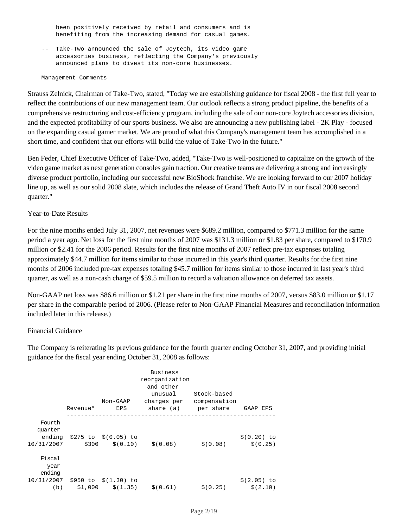been positively received by retail and consumers and is benefiting from the increasing demand for casual games.

 -- Take-Two announced the sale of Joytech, its video game accessories business, reflecting the Company's previously announced plans to divest its non-core businesses.

#### Management Comments

Strauss Zelnick, Chairman of Take-Two, stated, "Today we are establishing guidance for fiscal 2008 - the first full year to reflect the contributions of our new management team. Our outlook reflects a strong product pipeline, the benefits of a comprehensive restructuring and cost-efficiency program, including the sale of our non-core Joytech accessories division, and the expected profitability of our sports business. We also are announcing a new publishing label - 2K Play - focused on the expanding casual gamer market. We are proud of what this Company's management team has accomplished in a short time, and confident that our efforts will build the value of Take-Two in the future."

Ben Feder, Chief Executive Officer of Take-Two, added, "Take-Two is well-positioned to capitalize on the growth of the video game market as next generation consoles gain traction. Our creative teams are delivering a strong and increasingly diverse product portfolio, including our successful new BioShock franchise. We are looking forward to our 2007 holiday line up, as well as our solid 2008 slate, which includes the release of Grand Theft Auto IV in our fiscal 2008 second quarter."

#### Year-to-Date Results

For the nine months ended July 31, 2007, net revenues were \$689.2 million, compared to \$771.3 million for the same period a year ago. Net loss for the first nine months of 2007 was \$131.3 million or \$1.83 per share, compared to \$170.9 million or \$2.41 for the 2006 period. Results for the first nine months of 2007 reflect pre-tax expenses totaling approximately \$44.7 million for items similar to those incurred in this year's third quarter. Results for the first nine months of 2006 included pre-tax expenses totaling \$45.7 million for items similar to those incurred in last year's third quarter, as well as a non-cash charge of \$59.5 million to record a valuation allowance on deferred tax assets.

Non-GAAP net loss was \$86.6 million or \$1.21 per share in the first nine months of 2007, versus \$83.0 million or \$1.17 per share in the comparable period of 2006. (Please refer to Non-GAAP Financial Measures and reconciliation information included later in this release.)

### Financial Guidance

The Company is reiterating its previous guidance for the fourth quarter ending October 31, 2007, and providing initial guidance for the fiscal year ending October 31, 2008 as follows:

|                                 | Revenue* | Non-GAAP<br>EPS                 | Business<br>reorganization<br>and other<br>unusual<br>charges per | Stock-based<br>compensation<br>share (a) per share | GAAP EPS                  |
|---------------------------------|----------|---------------------------------|-------------------------------------------------------------------|----------------------------------------------------|---------------------------|
| Fourth<br>quarter<br>10/31/2007 |          | ending $$275$ to $$(0.05)$ to   | $$300 \t$(0.10) \t$(0.08)$                                        | \$ (0.08)                                          | \$ (0.20) to<br>\$ (0.25) |
| Fiscal<br>year<br>ending        |          | 10/31/2007 \$950 to \$(1.30) to |                                                                   |                                                    | $$(2.05)$ to              |
|                                 |          |                                 | (b) $$1,000 \t $(1.35) \t $(0.61)$                                | \$ (0.25)                                          | \$(2.10)                  |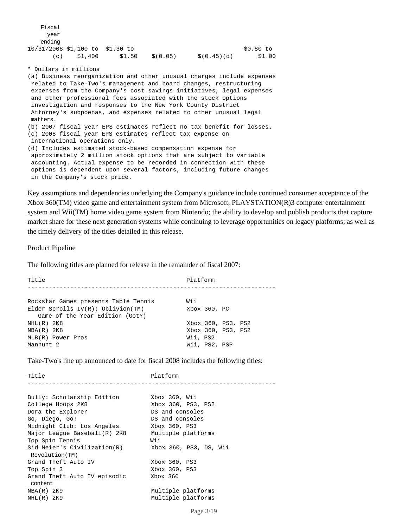| Fiscal |                                 |        |          |             |           |
|--------|---------------------------------|--------|----------|-------------|-----------|
| year   |                                 |        |          |             |           |
| ending |                                 |        |          |             |           |
|        | 10/31/2008 \$1,100 to \$1.30 to |        |          |             | \$0.80 to |
| (c)    | \$1,400                         | \$1.50 | \$(0.05) | \$(0.45)(d) | \$1.00    |

\* Dollars in millions

(a) Business reorganization and other unusual charges include expenses related to Take-Two's management and board changes, restructuring expenses from the Company's cost savings initiatives, legal expenses and other professional fees associated with the stock options investigation and responses to the New York County District Attorney's subpoenas, and expenses related to other unusual legal matters. (b) 2007 fiscal year EPS estimates reflect no tax benefit for losses. (c) 2008 fiscal year EPS estimates reflect tax expense on international operations only. (d) Includes estimated stock-based compensation expense for approximately 2 million stock options that are subject to variable accounting. Actual expense to be recorded in connection with these options is dependent upon several factors, including future changes in the Company's stock price.

Key assumptions and dependencies underlying the Company's guidance include continued consumer acceptance of the Xbox 360(TM) video game and entertainment system from Microsoft, PLAYSTATION(R)3 computer entertainment system and Wii(TM) home video game system from Nintendo; the ability to develop and publish products that capture market share for these next generation systems while continuing to leverage opportunities on legacy platforms; as well as the timely delivery of the titles detailed in this release.

Product Pipeline

The following titles are planned for release in the remainder of fiscal 2007:

Title Platform ----------------------------------------------------------------------Rockstar Games presents Table Tennis Wii Elder Scrolls IV(R): Oblivion(TM) Xbox 360, PC Game of the Year Edition (GotY) NHL(R) 2K8 Xbox 360, PS3, PS2 NBA(R) 2K8 Xbox 360, PS3, PS2 MLB(R) Power Pros Wii, PS2 Manhunt 2 Wii, PS2, PSP

Take-Two's line up announced to date for fiscal 2008 includes the following titles:

Title Platform ----------------------------------------------------------------------Bully: Scholarship Edition Xbox 360, Wii College Hoops 2K8 Xbox 360, PS3, PS2 Dora the Explorer **DS** and consoles Go, Diego, Go! DS and consoles Midnight Club: Los Angeles Xbox 360, PS3 Major League Baseball(R) 2K8 Multiple platforms Top Spin Tennis Wii Sid Meier's Civilization(R) Xbox 360, PS3, DS, Wii Revolution(TM) Grand Theft Auto IV Xbox 360, PS3 Top Spin 3 Xbox 360, PS3 Grand Theft Auto IV episodic Xbox 360 content<br>NBA(R) 2K9 NBA(R) 2K9 Multiple platforms<br>NHL(R) 2K9 Multiple platforms Multiple platforms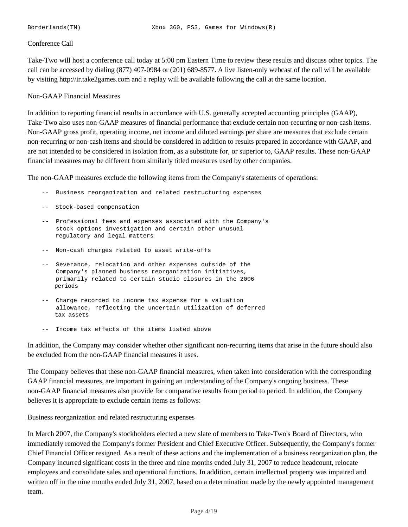### Conference Call

Take-Two will host a conference call today at 5:00 pm Eastern Time to review these results and discuss other topics. The call can be accessed by dialing (877) 407-0984 or (201) 689-8577. A live listen-only webcast of the call will be available by visiting http://ir.take2games.com and a replay will be available following the call at the same location.

### Non-GAAP Financial Measures

In addition to reporting financial results in accordance with U.S. generally accepted accounting principles (GAAP), Take-Two also uses non-GAAP measures of financial performance that exclude certain non-recurring or non-cash items. Non-GAAP gross profit, operating income, net income and diluted earnings per share are measures that exclude certain non-recurring or non-cash items and should be considered in addition to results prepared in accordance with GAAP, and are not intended to be considered in isolation from, as a substitute for, or superior to, GAAP results. These non-GAAP financial measures may be different from similarly titled measures used by other companies.

The non-GAAP measures exclude the following items from the Company's statements of operations:

- -- Business reorganization and related restructuring expenses
- -- Stock-based compensation
- -- Professional fees and expenses associated with the Company's stock options investigation and certain other unusual regulatory and legal matters
- -- Non-cash charges related to asset write-offs
- -- Severance, relocation and other expenses outside of the Company's planned business reorganization initiatives, primarily related to certain studio closures in the 2006 periods
- -- Charge recorded to income tax expense for a valuation allowance, reflecting the uncertain utilization of deferred tax assets
- -- Income tax effects of the items listed above

In addition, the Company may consider whether other significant non-recurring items that arise in the future should also be excluded from the non-GAAP financial measures it uses.

The Company believes that these non-GAAP financial measures, when taken into consideration with the corresponding GAAP financial measures, are important in gaining an understanding of the Company's ongoing business. These non-GAAP financial measures also provide for comparative results from period to period. In addition, the Company believes it is appropriate to exclude certain items as follows:

Business reorganization and related restructuring expenses

In March 2007, the Company's stockholders elected a new slate of members to Take-Two's Board of Directors, who immediately removed the Company's former President and Chief Executive Officer. Subsequently, the Company's former Chief Financial Officer resigned. As a result of these actions and the implementation of a business reorganization plan, the Company incurred significant costs in the three and nine months ended July 31, 2007 to reduce headcount, relocate employees and consolidate sales and operational functions. In addition, certain intellectual property was impaired and written off in the nine months ended July 31, 2007, based on a determination made by the newly appointed management team.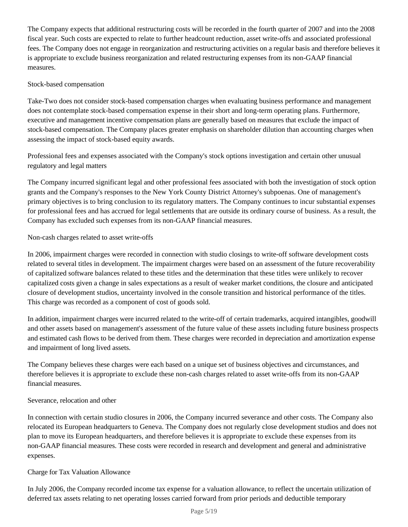The Company expects that additional restructuring costs will be recorded in the fourth quarter of 2007 and into the 2008 fiscal year. Such costs are expected to relate to further headcount reduction, asset write-offs and associated professional fees. The Company does not engage in reorganization and restructuring activities on a regular basis and therefore believes it is appropriate to exclude business reorganization and related restructuring expenses from its non-GAAP financial measures.

## Stock-based compensation

Take-Two does not consider stock-based compensation charges when evaluating business performance and management does not contemplate stock-based compensation expense in their short and long-term operating plans. Furthermore, executive and management incentive compensation plans are generally based on measures that exclude the impact of stock-based compensation. The Company places greater emphasis on shareholder dilution than accounting charges when assessing the impact of stock-based equity awards.

Professional fees and expenses associated with the Company's stock options investigation and certain other unusual regulatory and legal matters

The Company incurred significant legal and other professional fees associated with both the investigation of stock option grants and the Company's responses to the New York County District Attorney's subpoenas. One of management's primary objectives is to bring conclusion to its regulatory matters. The Company continues to incur substantial expenses for professional fees and has accrued for legal settlements that are outside its ordinary course of business. As a result, the Company has excluded such expenses from its non-GAAP financial measures.

# Non-cash charges related to asset write-offs

In 2006, impairment charges were recorded in connection with studio closings to write-off software development costs related to several titles in development. The impairment charges were based on an assessment of the future recoverability of capitalized software balances related to these titles and the determination that these titles were unlikely to recover capitalized costs given a change in sales expectations as a result of weaker market conditions, the closure and anticipated closure of development studios, uncertainty involved in the console transition and historical performance of the titles. This charge was recorded as a component of cost of goods sold.

In addition, impairment charges were incurred related to the write-off of certain trademarks, acquired intangibles, goodwill and other assets based on management's assessment of the future value of these assets including future business prospects and estimated cash flows to be derived from them. These charges were recorded in depreciation and amortization expense and impairment of long lived assets.

The Company believes these charges were each based on a unique set of business objectives and circumstances, and therefore believes it is appropriate to exclude these non-cash charges related to asset write-offs from its non-GAAP financial measures.

## Severance, relocation and other

In connection with certain studio closures in 2006, the Company incurred severance and other costs. The Company also relocated its European headquarters to Geneva. The Company does not regularly close development studios and does not plan to move its European headquarters, and therefore believes it is appropriate to exclude these expenses from its non-GAAP financial measures. These costs were recorded in research and development and general and administrative expenses.

# Charge for Tax Valuation Allowance

In July 2006, the Company recorded income tax expense for a valuation allowance, to reflect the uncertain utilization of deferred tax assets relating to net operating losses carried forward from prior periods and deductible temporary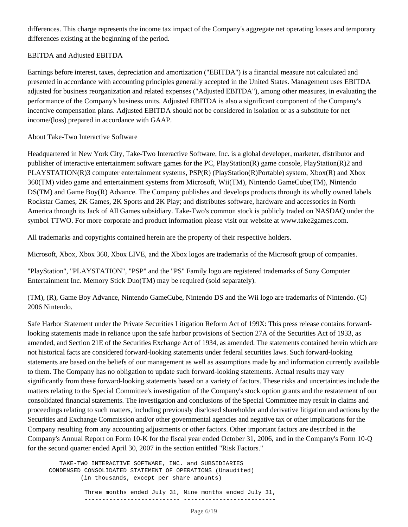differences. This charge represents the income tax impact of the Company's aggregate net operating losses and temporary differences existing at the beginning of the period.

## EBITDA and Adjusted EBITDA

Earnings before interest, taxes, depreciation and amortization ("EBITDA") is a financial measure not calculated and presented in accordance with accounting principles generally accepted in the United States. Management uses EBITDA adjusted for business reorganization and related expenses ("Adjusted EBITDA"), among other measures, in evaluating the performance of the Company's business units. Adjusted EBITDA is also a significant component of the Company's incentive compensation plans. Adjusted EBITDA should not be considered in isolation or as a substitute for net income/(loss) prepared in accordance with GAAP.

## About Take-Two Interactive Software

Headquartered in New York City, Take-Two Interactive Software, Inc. is a global developer, marketer, distributor and publisher of interactive entertainment software games for the PC, PlayStation(R) game console, PlayStation(R)2 and PLAYSTATION(R)3 computer entertainment systems, PSP(R) (PlayStation(R)Portable) system, Xbox(R) and Xbox 360(TM) video game and entertainment systems from Microsoft, Wii(TM), Nintendo GameCube(TM), Nintendo DS(TM) and Game Boy(R) Advance. The Company publishes and develops products through its wholly owned labels Rockstar Games, 2K Games, 2K Sports and 2K Play; and distributes software, hardware and accessories in North America through its Jack of All Games subsidiary. Take-Two's common stock is publicly traded on NASDAQ under the symbol TTWO. For more corporate and product information please visit our website at www.take2games.com.

All trademarks and copyrights contained herein are the property of their respective holders.

Microsoft, Xbox, Xbox 360, Xbox LIVE, and the Xbox logos are trademarks of the Microsoft group of companies.

"PlayStation", "PLAYSTATION", "PSP" and the "PS" Family logo are registered trademarks of Sony Computer Entertainment Inc. Memory Stick Duo(TM) may be required (sold separately).

(TM), (R), Game Boy Advance, Nintendo GameCube, Nintendo DS and the Wii logo are trademarks of Nintendo. (C) 2006 Nintendo.

Safe Harbor Statement under the Private Securities Litigation Reform Act of 199X: This press release contains forwardlooking statements made in reliance upon the safe harbor provisions of Section 27A of the Securities Act of 1933, as amended, and Section 21E of the Securities Exchange Act of 1934, as amended. The statements contained herein which are not historical facts are considered forward-looking statements under federal securities laws. Such forward-looking statements are based on the beliefs of our management as well as assumptions made by and information currently available to them. The Company has no obligation to update such forward-looking statements. Actual results may vary significantly from these forward-looking statements based on a variety of factors. These risks and uncertainties include the matters relating to the Special Committee's investigation of the Company's stock option grants and the restatement of our consolidated financial statements. The investigation and conclusions of the Special Committee may result in claims and proceedings relating to such matters, including previously disclosed shareholder and derivative litigation and actions by the Securities and Exchange Commission and/or other governmental agencies and negative tax or other implications for the Company resulting from any accounting adjustments or other factors. Other important factors are described in the Company's Annual Report on Form 10-K for the fiscal year ended October 31, 2006, and in the Company's Form 10-Q for the second quarter ended April 30, 2007 in the section entitled "Risk Factors."

 TAKE-TWO INTERACTIVE SOFTWARE, INC. and SUBSIDIARIES CONDENSED CONSOLIDATED STATEMENT OF OPERATIONS (Unaudited) (in thousands, except per share amounts) Three months ended July 31, Nine months ended July 31,

--------------------------- --------------------------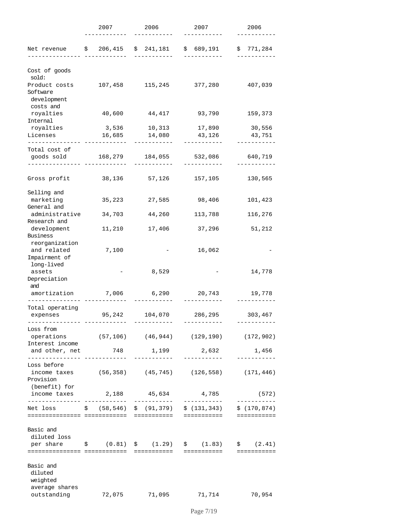|                                                                               | 2007              | 2006                        | 2007                    | 2006                         |
|-------------------------------------------------------------------------------|-------------------|-----------------------------|-------------------------|------------------------------|
| Net revenue $\frac{1}{2}$ 206,415                                             |                   | \$241,181                   | \$689,191               | 771,284<br>Ş.                |
| Cost of goods<br>sold:                                                        |                   |                             |                         |                              |
| Product costs<br>Software<br>development<br>costs and                         | 107,458           | 115,245                     | 377,280                 | 407,039                      |
| royalties<br>Internal                                                         | 40,600            | 44,417                      | 93,790                  | 159,373                      |
| royalties<br>Licenses                                                         | 3,536<br>16,685   | 14,080                      | 10,313 17,890<br>43,126 | 30,556<br>43,751             |
| -------------                                                                 |                   |                             |                         |                              |
| Total cost of<br>goods sold                                                   | 168,279           | 184,055                     | 532,086                 | 640,719                      |
| Gross profit                                                                  | 38,136            | 57,126                      | 157,105                 | 130,565                      |
| Selling and<br>marketing<br>General and                                       | 35,223            | 27,585                      | 98,406                  | 101,423                      |
| administrative<br>Research and                                                | 34,703            | 44,260                      | 113,788                 | 116,276                      |
| development<br>Business                                                       | 11,210            | 17,406                      | 37,296                  | 51,212                       |
| reorganization<br>and related<br>Impairment of<br>long-lived                  | 7,100             |                             | 16,062                  |                              |
| assets<br>Depreciation<br>and                                                 |                   | 8,529                       |                         | 14,778                       |
| amortization                                                                  | 7,006             | 6,290                       | 20,743                  | 19,778                       |
| Total operating                                                               |                   |                             |                         |                              |
| expenses                                                                      | 95,242            | 104,070                     | 286,295                 | 303,467                      |
| Loss from<br>operations (57,106) (46,944) (129,190)<br>Interest income        |                   |                             |                         | (172, 902)                   |
| and other, net<br>. _ _ _ _ _ _ _ _ _ _ _ _ _ _                               | 748               | 1,199                       | 2,632                   | 1,456                        |
| Loss before<br>income taxes $(56, 358)$ $(45, 745)$ $(126, 558)$<br>Provision |                   |                             |                         | (171, 446)                   |
| (benefit) for<br>income taxes<br>--------------                               | 2,188<br>-------- | 45,634<br>. _ _ _ _ _ _ _ _ | 4,785<br>------------   | (572)<br>. _ _ _ _ _ _ _ _ _ |
| Net loss                                                                      | \$(58, 546)       | \$ (91, 379)                | \$(131, 343)            | \$(170, 874)<br>------------ |
| Basic and<br>diluted loss                                                     |                   |                             |                         |                              |
| per share $\qquad$ $(0.81)$ $\qquad$ $(1.29)$ $\qquad$ $(1.83)$               |                   |                             |                         | \$ (2.41)                    |
| Basic and<br>diluted<br>weighted<br>average shares                            |                   |                             |                         |                              |
| outstanding                                                                   | 72,075            | 71,095                      | 71,714                  | 70,954                       |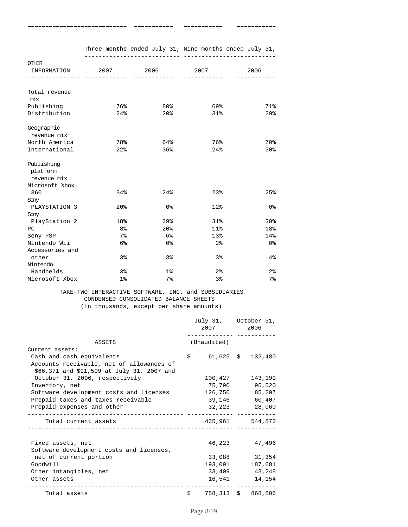| ----------------------------<br>----------------------------- | ____________<br>___________ | ------------<br>___________ | -----------<br>----------- |
|---------------------------------------------------------------|-----------------------------|-----------------------------|----------------------------|
|                                                               |                             |                             |                            |

|                            |                 | Three months ended July 31, Nine months ended July 31, |                 |                |
|----------------------------|-----------------|--------------------------------------------------------|-----------------|----------------|
| OTHER                      |                 |                                                        |                 |                |
| INFORMATION 2007 2006 2007 |                 |                                                        |                 | 2006           |
|                            |                 |                                                        |                 |                |
| Total revenue<br>mix       |                 |                                                        |                 |                |
| Publishing                 | 76%             | $80\%$                                                 | 69%             | 71%            |
| Distribution               | $24\%$          | 20%                                                    | 31%             | 29%            |
| Geographic                 |                 |                                                        |                 |                |
| revenue mix                |                 |                                                        |                 |                |
| North America              | 78%             | 64%                                                    | 76%             | 70%            |
| International              | 22%             | 36%                                                    | 24%             | 30%            |
| Publishing                 |                 |                                                        |                 |                |
| platform                   |                 |                                                        |                 |                |
| revenue mix                |                 |                                                        |                 |                |
| Microsoft Xbox             |                 |                                                        |                 |                |
| 360                        | 34%             | 24%                                                    | 23%             | 25%            |
| Sony                       |                 |                                                        |                 |                |
| PLAYSTATION 3              | 20 <sup>8</sup> | 0%                                                     | 12 <sub>8</sub> | 0%             |
| Sony                       |                 |                                                        |                 |                |
| PlayStation 2              | 18%             | 39%                                                    | 31%             | 30%            |
| РC                         | 8%              | 20 <sup>8</sup>                                        | $11$ %          | 18%            |
| Sony PSP                   | $7\%$           | 6%                                                     | 13%             | 14%            |
| Nintendo Wii               | 6%              | 0%                                                     | 2 <sup>°</sup>  | 0%             |
| Accessories and            |                 |                                                        |                 |                |
| other                      | 3%              | 3 <sup>°</sup>                                         | 3%              | 4%             |
| Nintendo                   |                 |                                                        |                 |                |
| Handhelds                  | 3%              | 1 <sub>8</sub>                                         | 2 <sup>°</sup>  | 2 <sup>°</sup> |
| Microsoft Xbox             | 1 <sub>8</sub>  | $7\,$                                                  | 3%              | $7\%$          |

#### TAKE-TWO INTERACTIVE SOFTWARE, INC. and SUBSIDIARIES CONDENSED CONSOLIDATED BALANCE SHEETS (in thousands, except per share amounts)

|                                                                    |            | July 31, October 31,<br>2007 2006<br>_____________ ______ |                    |
|--------------------------------------------------------------------|------------|-----------------------------------------------------------|--------------------|
| ASSETS                                                             |            | (Unaudited)                                               |                    |
| Current assets:                                                    |            |                                                           |                    |
| Cash and cash equivalents                                          | \$         | $61,625 \quad $32,480$                                    |                    |
| Accounts receivable, net of allowances of                          |            |                                                           |                    |
| \$66,371 and \$91,509 at July 31, 2007 and                         |            |                                                           |                    |
| October 31, 2006, respectively                                     |            | 100,427                                                   | 143,199            |
| Inventory, net                                                     |            |                                                           | 75,790 95,520      |
| Software development costs and licenses                            |            | 126,750                                                   | 85,207             |
| Prepaid taxes and taxes receivable                                 |            |                                                           | 39,146 60,407      |
| Prepaid expenses and other<br>____________________________________ |            | 32,223                                                    | 28,060             |
| Total current assets                                               |            |                                                           | 435,961 544,873    |
|                                                                    |            |                                                           |                    |
| Fixed assets, net                                                  |            |                                                           | 46,223 47,496      |
| Software development costs and licenses,                           |            |                                                           |                    |
| net of current portion                                             |            | 33,088                                                    | 31,354             |
| Goodwill                                                           |            |                                                           | 193,091 187,681    |
| Other intangibles, net                                             |            |                                                           | 33,409 43,248      |
| Other assets<br>_____________________                              |            | 16,541                                                    | 14,154             |
| Total assets                                                       | $\ddot{s}$ |                                                           | 758,313 \$ 868,806 |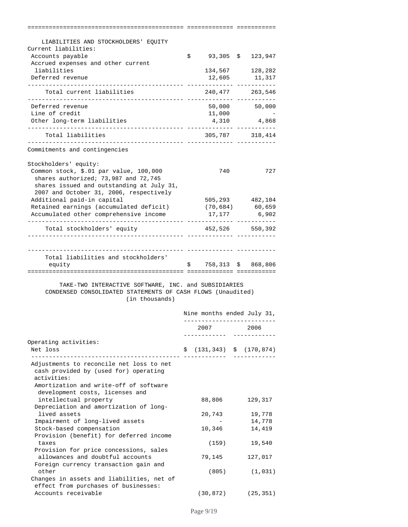| LIABILITIES AND STOCKHOLDERS' EQUITY                            |                                        |                              |
|-----------------------------------------------------------------|----------------------------------------|------------------------------|
| Current liabilities:                                            |                                        |                              |
| Accounts payable                                                | \$<br>93,305 \$                        | 123,947                      |
| Accrued expenses and other current                              |                                        |                              |
| liabilities                                                     | 134,567                                | 128,282                      |
| Deferred revenue                                                | 12,605                                 | 11,317<br>--- --------       |
| Total current liabilities                                       |                                        | 240,477 263,546<br>.         |
| Deferred revenue                                                | 50,000                                 | 50,000                       |
| Line of credit                                                  | 11,000                                 |                              |
| Other long-term liabilities                                     | 4,310                                  | 4,868                        |
| Total liabilities                                               |                                        | 305,787 318,414              |
| Commitments and contingencies                                   |                                        |                              |
|                                                                 |                                        |                              |
| Stockholders' equity:<br>Common stock, \$.01 par value, 100,000 | 740                                    | 727                          |
| shares authorized; 73,987 and 72,745                            |                                        |                              |
| shares issued and outstanding at July 31,                       |                                        |                              |
| 2007 and October 31, 2006, respectively                         |                                        |                              |
| Additional paid-in capital                                      |                                        | 505,293 482,104              |
| Retained earnings (accumulated deficit)                         |                                        | $(70, 684)$ 60,659           |
| Accumulated other comprehensive income                          | 17,177                                 | 6,902                        |
| Total stockholders' equity                                      |                                        | 452,526 550,392              |
|                                                                 | ------------                           |                              |
|                                                                 |                                        |                              |
| Total liabilities and stockholders'                             |                                        |                              |
| equity                                                          | $\mathsf{S}$ . The set of $\mathsf{S}$ | 758,313 \$ 868,806           |
|                                                                 |                                        |                              |
| TAKE-TWO INTERACTIVE SOFTWARE, INC. and SUBSIDIARIES            |                                        |                              |
| CONDENSED CONSOLIDATED STATEMENTS OF CASH FLOWS (Unaudited)     |                                        |                              |
| (in thousands)                                                  |                                        |                              |
|                                                                 |                                        |                              |
|                                                                 |                                        |                              |
|                                                                 |                                        | Nine months ended July 31,   |
|                                                                 | 2007                                   | 2006                         |
|                                                                 |                                        |                              |
| Operating activities:                                           |                                        |                              |
| Net loss<br>-------------------------                           | Ş.                                     | $(131, 343)$ \$ $(170, 874)$ |
| Adjustments to reconcile net loss to net                        |                                        |                              |
| cash provided by (used for) operating                           |                                        |                              |
| activities:                                                     |                                        |                              |
| Amortization and write-off of software                          |                                        |                              |
| development costs, licenses and                                 |                                        |                              |
| intellectual property                                           | 88,806                                 | 129,317                      |
| Depreciation and amortization of long-<br>lived assets          | 20,743                                 | 19,778                       |
| Impairment of long-lived assets                                 |                                        | 14,778                       |
| Stock-based compensation                                        | 10,346                                 | 14,419                       |
| Provision (benefit) for deferred income                         |                                        |                              |
| taxes                                                           | (159)                                  | 19,540                       |
| Provision for price concessions, sales                          |                                        |                              |
| allowances and doubtful accounts                                | 79,145                                 | 127,017                      |
| Foreign currency transaction gain and<br>other                  | (805)                                  | (1, 031)                     |
| Changes in assets and liabilities, net of                       |                                        |                              |
| effect from purchases of businesses:<br>Accounts receivable     | (30,872)                               | (25, 351)                    |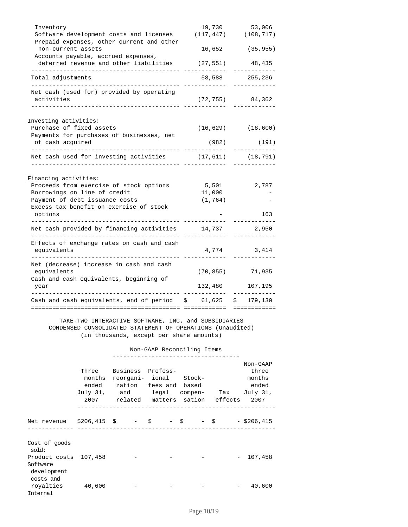| Inventory                                                                            | 19,730                  | 53,006                    |
|--------------------------------------------------------------------------------------|-------------------------|---------------------------|
| Software development costs and licenses<br>Prepaid expenses, other current and other |                         | $(117, 447)$ $(108, 717)$ |
| non-current assets<br>Accounts payable, accrued expenses,                            | 16,652                  | (35, 955)                 |
| deferred revenue and other liabilities                                               | (27, 551)               | 48,435<br>----------      |
| Total adjustments                                                                    | 58,588                  | 255,236                   |
| Net cash (used for) provided by operating<br>activities                              | (72, 755)               | 84,362                    |
| Investing activities:                                                                |                         |                           |
| Purchase of fixed assets<br>Payments for purchases of businesses, net                |                         | $(16, 629)$ $(18, 600)$   |
| of cash acquired                                                                     | (982)                   | (191)                     |
| Net cash used for investing activities                                               | $(17, 611)$ $(18, 791)$ |                           |
| Financing activities:                                                                |                         |                           |
| Proceeds from exercise of stock options                                              | 5,501                   | 2,787                     |
| Borrowings on line of credit                                                         | 11,000                  |                           |
| Payment of debt issuance costs                                                       | (1, 764)                |                           |
| Excess tax benefit on exercise of stock<br>options                                   |                         | 163                       |
| Net cash provided by financing activities                                            | 14,737                  | 2,950                     |
| Effects of exchange rates on cash and cash<br>equivalents                            | 4,774                   | 3,414                     |
| Net (decrease) increase in cash and cash<br>equivalents                              | (70, 855)               | 71,935                    |
| Cash and cash equivalents, beginning of<br>year                                      | 132,480                 | 107,195                   |
| Cash and cash equivalents, end of period $$61,625$ $$179,130$                        |                         |                           |
| ======================                                                               | <b>ESSESSESSESS</b>     | ============              |

 TAKE-TWO INTERACTIVE SOFTWARE, INC. and SUBSIDIARIES CONDENSED CONSOLIDATED STATEMENT OF OPERATIONS (Unaudited) (in thousands, except per share amounts)

Non-GAAP Reconciling Items

|                                                                            | Three<br>months | Business Profess-<br>reorgani- ional Stock-<br>ended zation fees and based<br>July 31, and legal compen- Tax July 31,<br>2007 related matters sation effects 2007 | -------------------------- |  | Non-GAAP<br>three<br>months<br>ended |
|----------------------------------------------------------------------------|-----------------|-------------------------------------------------------------------------------------------------------------------------------------------------------------------|----------------------------|--|--------------------------------------|
| Net revenue \$206,415 \$ - \$ - \$ - \$ - \$206,415                        |                 |                                                                                                                                                                   |                            |  |                                      |
| Cost of goods<br>sold:<br>Product costs 107,458<br>Software<br>development |                 |                                                                                                                                                                   |                            |  | 107,458                              |
| costs and<br>royalties 40,600<br>Internal                                  |                 |                                                                                                                                                                   |                            |  | 40,600                               |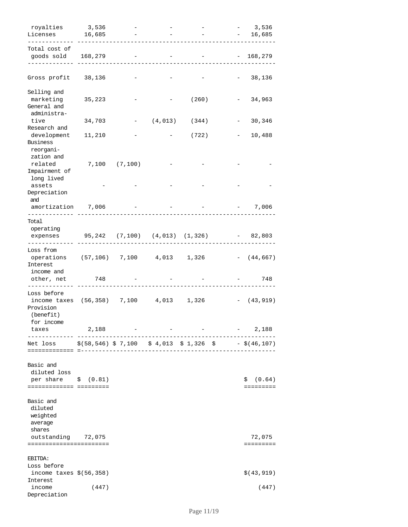| royalties<br>Licenses                                                              | 3,536<br>16,685                                                  |               |                   | $-3,536$<br>16,685<br>$\sim$ 100 $\mu$ |
|------------------------------------------------------------------------------------|------------------------------------------------------------------|---------------|-------------------|----------------------------------------|
| Total cost of<br>goods sold 168,279                                                |                                                                  |               |                   | $-168,279$                             |
| Gross profit 38,136                                                                |                                                                  |               |                   | 38,136                                 |
| Selling and<br>marketing<br>General and                                            | 35,223                                                           |               | (260)             | 34,963                                 |
| administra-<br>tive                                                                | 34,703                                                           |               | $-$ (4,013) (344) | 30,346                                 |
| Research and<br>development<br>Business                                            | 11,210                                                           |               | (722)             | 10,488                                 |
| reorgani-<br>zation and<br>related<br>Impairment of<br>long lived                  |                                                                  | 7,100 (7,100) |                   |                                        |
| assets<br>Depreciation<br>and                                                      |                                                                  |               |                   |                                        |
| amortization 7,006                                                                 |                                                                  |               |                   | 7,006                                  |
| Total<br>operating<br>expenses 95,242 (7,100) (4,013) (1,326)                      |                                                                  |               |                   | $-82,803$                              |
| .<br>Loss from<br>operations (57,106) 7,100 4,013<br>Interest                      |                                                                  |               | 1,326             | $- (44, 667)$                          |
| income and<br>other, net 748<br>--------                                           |                                                                  |               |                   | 748                                    |
| Loss before<br>income taxes (56,358) 7,100 4,013 1,326<br>Provision<br>(benefit)   |                                                                  |               |                   | $- (43, 919)$                          |
| for income<br>taxes<br>-------------                                               | 2,188                                                            |               |                   | 2,188                                  |
| Net loss<br>===============                                                        | $\frac{1}{2}(58,546)$ \$ 7,100 \$ 4,013 \$ 1,326 \$ - \$(46,107) |               |                   |                                        |
| Basic and<br>diluted loss<br>per share $\quad$ $(0.81)$<br>======================= |                                                                  |               |                   | (0.64)<br>\$<br>$= = = = = = = = = =$  |
| Basic and<br>diluted<br>weighted<br>average<br>shares                              |                                                                  |               |                   |                                        |
| outstanding 72,075<br>=======================                                      |                                                                  |               |                   | 72,075                                 |
| EBITDA:<br>Loss before                                                             |                                                                  |               |                   |                                        |
| income taxes $$(56, 358)$<br>Interest                                              |                                                                  |               |                   | \$ (43, 919)                           |
| income<br>Depreciation                                                             | (447)                                                            |               |                   | (447)                                  |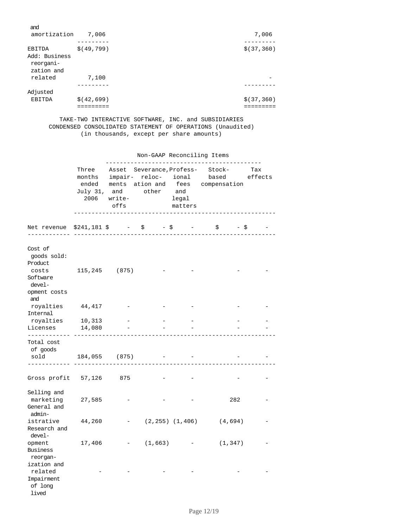| and<br>amortization                                | 7,006        | 7,006        |
|----------------------------------------------------|--------------|--------------|
| EBITDA<br>Add: Business<br>reorgani-<br>zation and | \$ (49, 799) | \$ (37, 360) |
| related                                            | 7,100        |              |
| Adjusted                                           |              |              |
| EBITDA                                             | \$ (42, 699) | \$ (37, 360) |

 TAKE-TWO INTERACTIVE SOFTWARE, INC. and SUBSIDIARIES CONDENSED CONSOLIDATED STATEMENT OF OPERATIONS (Unaudited) (in thousands, except per share amounts)

|                                                          |                    | Non-GAAP Reconciling Items |             |                                                                                                                                                 |                                              |  |                  |                         |  |     |
|----------------------------------------------------------|--------------------|----------------------------|-------------|-------------------------------------------------------------------------------------------------------------------------------------------------|----------------------------------------------|--|------------------|-------------------------|--|-----|
|                                                          | Three<br>2006      |                            |             | Asset Severance, Profess-<br>months impair- reloc- ional<br>ended ments ation and fees compensation<br>July 31, and other and<br>write-<br>offs |                                              |  | legal<br>matters | Stock-<br>based effects |  | Tax |
| Net revenue                                              | __________________ | $$241,181 \$$ - \$ - \$ -  |             |                                                                                                                                                 | $\begin{array}{ccc} \xi & - \xi \end{array}$ |  |                  |                         |  |     |
| Cost of<br>qoods sold:<br>Product<br>costs               |                    | 115,245 (875)              |             |                                                                                                                                                 |                                              |  |                  |                         |  |     |
| Software<br>devel-<br>opment costs<br>and                |                    |                            |             |                                                                                                                                                 |                                              |  |                  |                         |  |     |
| royalties<br>Internal                                    | 44,417             |                            |             |                                                                                                                                                 |                                              |  |                  |                         |  |     |
| royalties                                                | 10,313             |                            |             |                                                                                                                                                 |                                              |  |                  |                         |  |     |
| Licenses                                                 | 14,080             |                            |             |                                                                                                                                                 |                                              |  |                  |                         |  |     |
| ------------<br>Total cost<br>of goods                   |                    |                            |             |                                                                                                                                                 |                                              |  |                  |                         |  |     |
| sold                                                     |                    | 184,055 (875)              |             | <b>Contract Contract</b>                                                                                                                        |                                              |  |                  |                         |  |     |
| Gross profit $57,126$ 875                                |                    |                            |             |                                                                                                                                                 |                                              |  |                  |                         |  |     |
| Selling and<br>marketing<br>General and<br>admin-        | 27,585             |                            |             |                                                                                                                                                 | 282                                          |  |                  |                         |  |     |
| istrative<br>Research and<br>devel-                      | 44,260             | $ -$                       |             |                                                                                                                                                 | $(2, 255)$ $(1, 406)$ $(4, 694)$             |  |                  |                         |  |     |
| opment<br>Business<br>reorgan-                           | 17,406             |                            | $-$ (1,663) |                                                                                                                                                 | (1, 347)                                     |  |                  |                         |  |     |
| ization and<br>related<br>Impairment<br>of long<br>lived |                    |                            |             |                                                                                                                                                 |                                              |  |                  |                         |  |     |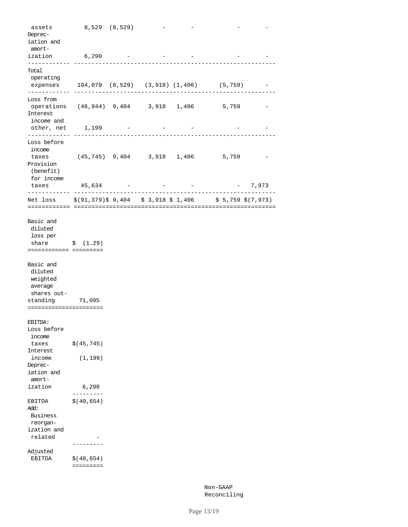| assets<br>Deprec-<br>iation and                                              |                           | 8,529 (8,529) |  |                                                              |          |
|------------------------------------------------------------------------------|---------------------------|---------------|--|--------------------------------------------------------------|----------|
| amort-<br>ization<br>.                                                       | 6,290                     |               |  |                                                              |          |
| Total<br>operating                                                           |                           |               |  |                                                              |          |
|                                                                              |                           |               |  | expenses 104,070 (8,529) (3,918) (1,406) (5,759)             |          |
| Loss from<br>operations (46,944) 9,404 3,918 1,406<br>Interest<br>income and |                           |               |  | 5,759                                                        |          |
| other, net 1,199<br>-----------                                              |                           |               |  |                                                              |          |
| Loss before<br>income<br>taxes<br>Provision                                  |                           |               |  | $(45, 745)$ 9, 404 3, 918 1, 406 5, 759                      |          |
| (benefit)<br>for income                                                      |                           |               |  |                                                              |          |
| taxes                                                                        | 45,634                    |               |  |                                                              | $-7,973$ |
|                                                                              |                           |               |  | Net loss \$(91,379)\$9,404 \$3,918 \$1,406 \$5,759 \$(7,973) |          |
| Basic and<br>diluted<br>loss per<br>share<br>======================          | \$(1.29)                  |               |  |                                                              |          |
| Basic and<br>diluted<br>weighted<br>average<br>shares out-<br>standing       | 71,095                    |               |  |                                                              |          |
| =======================<br>EBITDA:                                           |                           |               |  |                                                              |          |
| Loss before<br>income                                                        |                           |               |  |                                                              |          |
| taxes<br>Interest<br>income                                                  | \$ (45, 745)<br>(1, 199)  |               |  |                                                              |          |
| Deprec-<br>iation and<br>amort-                                              |                           |               |  |                                                              |          |
| ization                                                                      | 6,290                     |               |  |                                                              |          |
| EBITDA<br>Add:<br>Business<br>reorgan-                                       | \$ (40, 654)              |               |  |                                                              |          |
| ization and<br>related                                                       |                           |               |  |                                                              |          |
| Adjusted<br>EBITDA                                                           | \$ (40, 654)<br>========= |               |  |                                                              |          |

 Non-GAAP Reconciling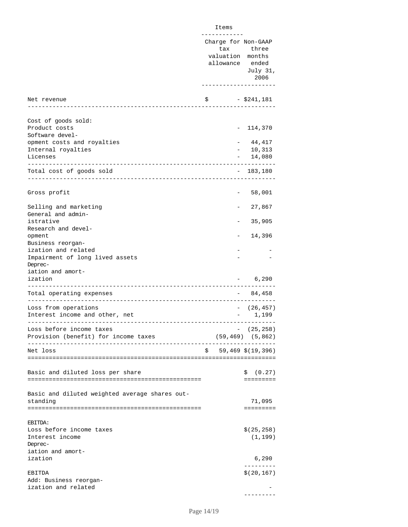|                                                                   | Items                                                                  |                                                                     |
|-------------------------------------------------------------------|------------------------------------------------------------------------|---------------------------------------------------------------------|
|                                                                   | .<br>Charge for Non-GAAP<br>tax<br>valuation months<br>allowance ended | three<br>July 31,<br>2006                                           |
| Net revenue<br>-----------------                                  | \$                                                                     | - \$241,181                                                         |
|                                                                   |                                                                        |                                                                     |
| Cost of goods sold:<br>Product costs<br>Software devel-           |                                                                        | 114,370                                                             |
| opment costs and royalties                                        |                                                                        | 44,417                                                              |
| Internal royalties                                                |                                                                        | 10,313                                                              |
| Licenses                                                          |                                                                        | 14,080                                                              |
| Total cost of goods sold                                          |                                                                        | $-183,180$                                                          |
| Gross profit                                                      |                                                                        | 58,001                                                              |
| Selling and marketing<br>General and admin-                       |                                                                        | 27,867                                                              |
| istrative<br>Research and devel-                                  |                                                                        | 35,905                                                              |
| opment<br>Business reorgan-                                       |                                                                        | 14,396                                                              |
| ization and related<br>Impairment of long lived assets<br>Deprec- |                                                                        |                                                                     |
| iation and amort-<br>ization                                      |                                                                        | 6,290                                                               |
| Total operating expenses                                          |                                                                        | 84,458                                                              |
| Loss from operations<br>Interest income and other, net            |                                                                        | (26, 457)<br>$\frac{1}{2}$ , $\frac{1}{2}$ , $\frac{1}{2}$<br>1,199 |
| Loss before income taxes<br>Provision (benefit) for income taxes  |                                                                        | $-$ (25,258)<br>$(59, 469)$ $(5, 862)$                              |
| Net loss                                                          | \$.                                                                    | 59,469 \$(19,396)                                                   |
|                                                                   |                                                                        |                                                                     |
| Basic and diluted loss per share                                  |                                                                        | \$<br>(0.27)<br>$= = = = = = = = = =$                               |
| Basic and diluted weighted average shares out-<br>standing        |                                                                        | 71,095<br>=========                                                 |
| EBITDA:<br>Loss before income taxes<br>Interest income<br>Deprec- |                                                                        | \$(25, 258)<br>(1, 199)                                             |
| iation and amort-<br>ization                                      |                                                                        | 6,290                                                               |
| EBITDA                                                            |                                                                        | \$(20, 167)                                                         |
| Add: Business reorgan-<br>ization and related                     |                                                                        |                                                                     |

---------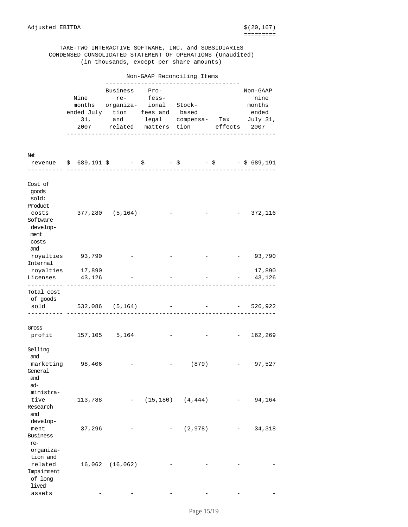lived

#### TAKE-TWO INTERACTIVE SOFTWARE, INC. and SUBSIDIARIES CONDENSED CONSOLIDATED STATEMENT OF OPERATIONS (Unaudited) (in thousands, except per share amounts)

 Non-GAAP Reconciling Items --------------------------------------Business Pro- Non-GAAP Nine re- fess- nine nine months organiza- ional Stock- months ended July tion fees and based ended 31, and legal compensa- Tax July 31, 2007 related matters tion effects 2007 -----------------------------------------------------------Net revenue  $\frac{1}{5}$  689,191  $\frac{1}{5}$  -  $\frac{1}{5}$  -  $\frac{1}{5}$  -  $\frac{1}{5}$  -  $\frac{1}{5}$  689,191 ---------- -----------------------------------------------------------Cost of goods sold: Product costs 377,280 (5,164) - - - 372,116 Software develop ment costs and royalties 93,790 - - - - 93,790 Internal royalties 17,890 17,890 Licenses 43,126 - - - - - 43,126 ---------- -----------------------------------------------------------Total cost of goods sold 532,086 (5,164) - - - 526,922 ---------- -----------------------------------------------------------Gross profit 157,105 5,164 - - - 162,269 Selling and marketing 98,406 - - (879) - 97,527 General and ad ministra tive 113,788 - (15,180) (4,444) - 94,164 Research and development 37,296 - (2,978) - 34,318 Business re organiza tion and related 16,062 (16,062) - - -Impairment of long

assets - - - - - -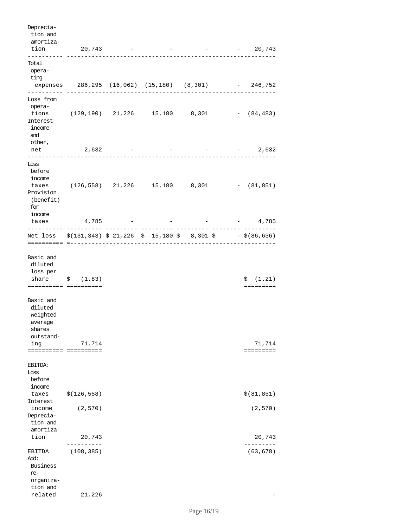| Deprecia-<br>tion and<br>amortiza-<br>tion                                                                                               | 20,743                                               |  | and the state of the state | 20,743                                |
|------------------------------------------------------------------------------------------------------------------------------------------|------------------------------------------------------|--|----------------------------|---------------------------------------|
| _________<br>Total<br>opera-                                                                                                             | -----------------                                    |  | -------------              |                                       |
| ting                                                                                                                                     | expenses 286,295 (16,062) (15,180) (8,301) - 246,752 |  |                            |                                       |
| Loss from<br>opera-<br>Interest<br>income<br>and                                                                                         | tions (129,190) 21,226 15,180 8,301 - (84,483)       |  |                            |                                       |
| other,<br>net                                                                                                                            | 2,632                                                |  |                            | $-2,632$                              |
| ------<br>Loss<br>before<br>income<br>Provision<br>(benefit)<br>for<br>income                                                            | taxes (126,558) 21,226 15,180 8,301 - (81,851)       |  |                            |                                       |
| taxes<br>-------                                                                                                                         | 4,785                                                |  |                            | $  4,785$                             |
| Net loss $\frac{2}{3}(131, 343)$ $\frac{2}{3}$ 21, 226 $\frac{2}{3}$ 15, 180 $\frac{2}{3}$ 8, 301 $\frac{2}{3}$ - $\frac{2}{3}(86, 636)$ | ===========================                          |  |                            |                                       |
| Basic and<br>diluted<br>loss per<br>share<br>====================                                                                        | \$ (1.83)                                            |  |                            | \$<br>(1.21)<br>$= = = = = = = = = =$ |
| Basic and<br>diluted<br>weighted<br>average<br>shares<br>outstand-<br>ing                                                                | 71,714                                               |  |                            | 71,714<br>$=$ = = = = = = = =         |
| EBITDA:<br>Loss<br>before<br>income                                                                                                      |                                                      |  |                            |                                       |
| taxes<br>Interest                                                                                                                        | \$(126, 558)                                         |  |                            | \$ (81, 851)                          |
| income<br>Deprecia-<br>tion and                                                                                                          | (2, 570)                                             |  |                            | (2, 570)                              |
| amortiza-<br>tion                                                                                                                        | 20,743                                               |  |                            | 20,743                                |
| EBITDA<br>Add:<br>Business<br>re-<br>organiza-<br>tion and<br>related                                                                    | (108, 385)<br>21,226                                 |  |                            | (63, 678)                             |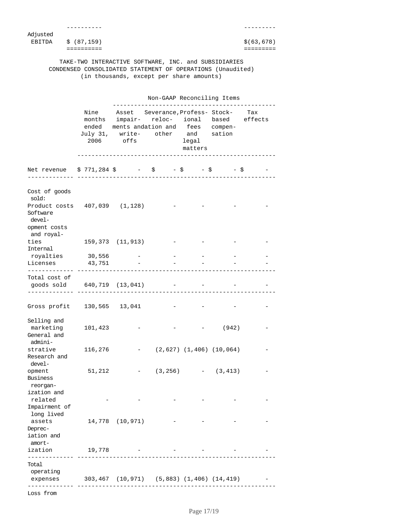| Adjusted |                      |  |  |                                                      |             |
|----------|----------------------|--|--|------------------------------------------------------|-------------|
|          | EBITDA $$ (87, 159)$ |  |  |                                                      | \$(63, 678) |
|          |                      |  |  |                                                      |             |
|          |                      |  |  |                                                      |             |
|          |                      |  |  | TAKE-TWO INTERACTIVE SOFTWARE, INC. and SUBSIDIARIES |             |

 CONDENSED CONSOLIDATED STATEMENT OF OPERATIONS (Unaudited) (in thousands, except per share amounts)

|                                                                                   |         | Non-GAAP Reconciling Items                                                                                                                                                      |  |                  |                                |  |  |
|-----------------------------------------------------------------------------------|---------|---------------------------------------------------------------------------------------------------------------------------------------------------------------------------------|--|------------------|--------------------------------|--|--|
|                                                                                   |         | Nine Asset Severance, Profess-Stock- Tax<br>months impair- reloc- ional based effects<br>ended ments andation and fees compen-<br>July 31, write- other and sation<br>2006 offs |  | legal<br>matters |                                |  |  |
| Net revenue \$771,284 \$ - \$ - \$ - \$ - \$                                      |         |                                                                                                                                                                                 |  |                  |                                |  |  |
| Cost of goods<br>sold:                                                            |         |                                                                                                                                                                                 |  |                  |                                |  |  |
| Product costs 407,039 (1,128)<br>Software<br>devel-<br>opment costs<br>and royal- |         |                                                                                                                                                                                 |  |                  |                                |  |  |
| ties<br>Internal                                                                  |         | 159,373 (11,913)                                                                                                                                                                |  |                  |                                |  |  |
| royalties<br>Licenses                                                             | 30,556  | $\overline{\phantom{a}}$<br>43,751                                                                                                                                              |  |                  |                                |  |  |
| ------------ -------------------<br>Total cost of<br>goods sold 640,719 (13,041)  |         |                                                                                                                                                                                 |  |                  |                                |  |  |
| Gross profit 130,565 13,041                                                       |         |                                                                                                                                                                                 |  |                  |                                |  |  |
| Selling and<br>marketing<br>General and<br>admini-                                | 101,423 |                                                                                                                                                                                 |  |                  | (942)                          |  |  |
| strative<br>Research and                                                          | 116,276 |                                                                                                                                                                                 |  |                  | $(2,627)$ $(1,406)$ $(10,064)$ |  |  |
| devel-<br>opment<br>Business                                                      | 51,212  |                                                                                                                                                                                 |  |                  | $(3, 256)$ - $(3, 413)$        |  |  |
| reorgan-<br>ization and<br>related<br>Impairment of                               |         |                                                                                                                                                                                 |  |                  |                                |  |  |
| long lived<br>assets<br>Deprec-<br>iation and                                     |         | 14,778 (10,971)                                                                                                                                                                 |  |                  |                                |  |  |
| amort-<br>ization                                                                 | 19,778  |                                                                                                                                                                                 |  |                  |                                |  |  |
| Total                                                                             |         |                                                                                                                                                                                 |  |                  |                                |  |  |
| operating<br>expenses                                                             |         | 303,467 (10,971) (5,883) (1,406) (14,419)                                                                                                                                       |  |                  |                                |  |  |
| Loss from                                                                         |         |                                                                                                                                                                                 |  |                  |                                |  |  |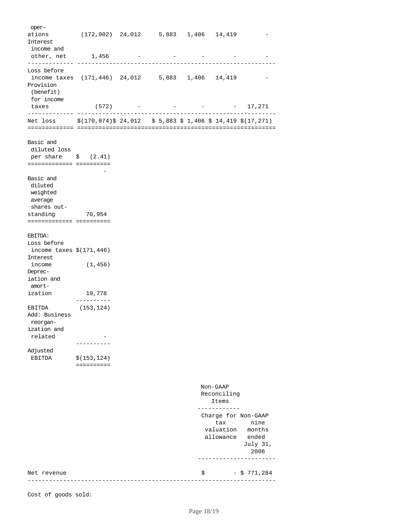| oper-<br>ations<br>Interest                                                               |                            |           | $(172,902)$ 24,012 5,883 1,406 14,419 |                                                      |                                             |
|-------------------------------------------------------------------------------------------|----------------------------|-----------|---------------------------------------|------------------------------------------------------|---------------------------------------------|
| income and<br>other, net 1,456<br>--------------                                          | -------------              |           |                                       |                                                      |                                             |
| Loss before<br>income taxes (171,446) 24,012 5,883 1,406 14,419<br>Provision<br>(benefit) |                            |           |                                       |                                                      |                                             |
| for income<br>taxes                                                                       |                            | $(572)$ - |                                       | $  17,271$                                           |                                             |
| ------------- ---<br>Net loss \$(170,874)\$24,012 \$5,883 \$1,406 \$14,419 \$(17,271)     |                            |           |                                       |                                                      |                                             |
| Basic and<br>diluted loss                                                                 |                            |           |                                       |                                                      |                                             |
| per share $\frac{1}{2}$ (2.41)<br>========================                                |                            |           |                                       |                                                      |                                             |
| Basic and<br>diluted<br>weighted<br>average<br>shares out-                                |                            |           |                                       |                                                      |                                             |
| standing 70,954<br>========================                                               |                            |           |                                       |                                                      |                                             |
| EBITDA:                                                                                   |                            |           |                                       |                                                      |                                             |
| Loss before<br>income taxes $$(171, 446)$<br>Interest                                     |                            |           |                                       |                                                      |                                             |
| income<br>Deprec-<br>iation and                                                           | (1, 456)                   |           |                                       |                                                      |                                             |
| amort-<br>ization                                                                         | 19,778<br>-------          |           |                                       |                                                      |                                             |
| EBITDA<br>Add: Business<br>reorgan-                                                       | (153,124)                  |           |                                       |                                                      |                                             |
| ization and<br>related                                                                    |                            |           |                                       |                                                      |                                             |
| Adjusted<br><b>EBITDA</b>                                                                 | \$(153, 124)<br>========== |           |                                       |                                                      |                                             |
|                                                                                           |                            |           |                                       | Non-GAAP<br>Reconciling<br>Items                     |                                             |
|                                                                                           |                            |           |                                       | Charge for Non-GAAP<br>tax<br>valuation<br>allowance | nine<br>months<br>ended<br>July 31,<br>2006 |
| Net revenue                                                                               |                            |           |                                       | \$                                                   | $-$ \$ 771,284                              |

Cost of goods sold: